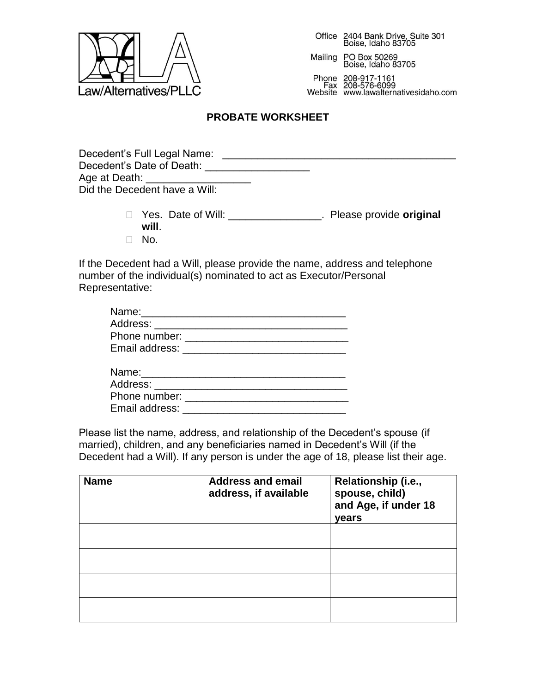

Office 2404 Bank Drive, Suite 301<br>Boise, Idaho 83705

PO Box 50269<br>Boise, Idaho 83705 Mailing

Phone 208-917-1161<br>Fax 208-576-6099 Website www.lawalternativesidaho.com

## **PROBATE WORKSHEET**

- Yes. Date of Will: \_\_\_\_\_\_\_\_\_\_\_\_\_\_\_\_. Please provide **original will**.
- $\Box$  No.

If the Decedent had a Will, please provide the name, address and telephone number of the individual(s) nominated to act as Executor/Personal Representative:

| Email address: |  |
|----------------|--|

Please list the name, address, and relationship of the Decedent's spouse (if married), children, and any beneficiaries named in Decedent's Will (if the Decedent had a Will). If any person is under the age of 18, please list their age.

| <b>Name</b> | <b>Address and email</b><br>address, if available | Relationship (i.e.,<br>spouse, child)<br>and Age, if under 18<br>years |
|-------------|---------------------------------------------------|------------------------------------------------------------------------|
|             |                                                   |                                                                        |
|             |                                                   |                                                                        |
|             |                                                   |                                                                        |
|             |                                                   |                                                                        |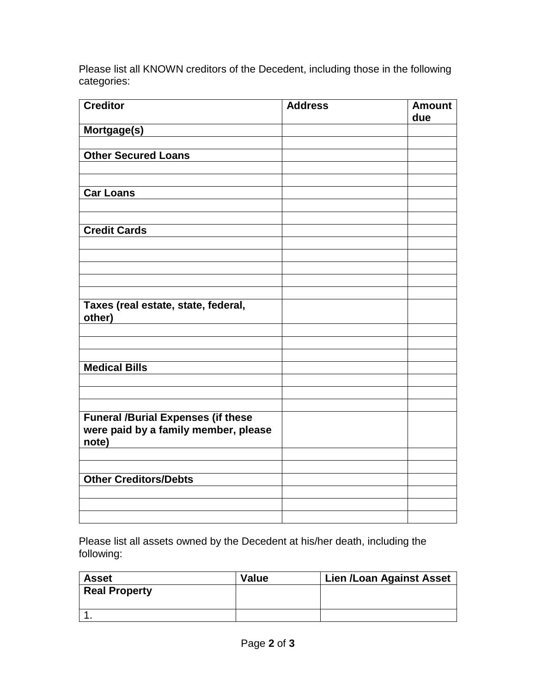Please list all KNOWN creditors of the Decedent, including those in the following categories:

| <b>Creditor</b>                           | <b>Address</b> | <b>Amount</b><br>due |
|-------------------------------------------|----------------|----------------------|
| Mortgage(s)                               |                |                      |
|                                           |                |                      |
| <b>Other Secured Loans</b>                |                |                      |
|                                           |                |                      |
| <b>Car Loans</b>                          |                |                      |
|                                           |                |                      |
|                                           |                |                      |
| <b>Credit Cards</b>                       |                |                      |
|                                           |                |                      |
|                                           |                |                      |
|                                           |                |                      |
|                                           |                |                      |
| Taxes (real estate, state, federal,       |                |                      |
| other)                                    |                |                      |
|                                           |                |                      |
|                                           |                |                      |
| <b>Medical Bills</b>                      |                |                      |
|                                           |                |                      |
|                                           |                |                      |
|                                           |                |                      |
| <b>Funeral /Burial Expenses (if these</b> |                |                      |
| were paid by a family member, please      |                |                      |
| note)                                     |                |                      |
|                                           |                |                      |
| <b>Other Creditors/Debts</b>              |                |                      |
|                                           |                |                      |
|                                           |                |                      |
|                                           |                |                      |

Please list all assets owned by the Decedent at his/her death, including the following:

| <b>Asset</b>         | <b>Value</b> | <b>Lien /Loan Against Asset</b> |
|----------------------|--------------|---------------------------------|
| <b>Real Property</b> |              |                                 |
|                      |              |                                 |